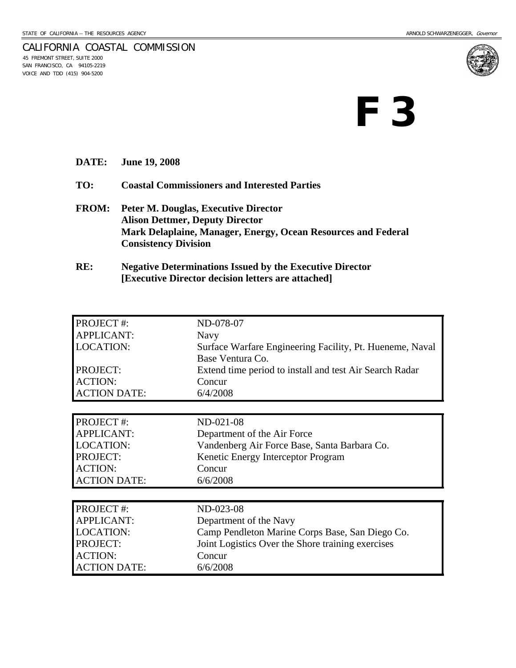

### CALIFORNIA COASTAL COMMISSION 45 FREMONT STREET, SUITE 2000

SAN FRANCISCO, CA 94105-2219 VOICE AND TDD (415) 904-5200

# **F 3**

- **DATE: June 19, 2008**
- **TO: Coastal Commissioners and Interested Parties**
- **FROM: Peter M. Douglas, Executive Director Alison Dettmer, Deputy Director Mark Delaplaine, Manager, Energy, Ocean Resources and Federal Consistency Division**
- **RE: Negative Determinations Issued by the Executive Director [Executive Director decision letters are attached]**

| PROJECT#:           | ND-078-07                                                |  |  |  |
|---------------------|----------------------------------------------------------|--|--|--|
| <b>APPLICANT:</b>   | Navy                                                     |  |  |  |
| <b>LOCATION:</b>    | Surface Warfare Engineering Facility, Pt. Hueneme, Naval |  |  |  |
|                     | Base Ventura Co.                                         |  |  |  |
| PROJECT:            | Extend time period to install and test Air Search Radar  |  |  |  |
| <b>ACTION:</b>      | Concur                                                   |  |  |  |
| <b>ACTION DATE:</b> | 6/4/2008                                                 |  |  |  |
|                     |                                                          |  |  |  |
| PROJECT#:           | ND-021-08                                                |  |  |  |
| <b>APPLICANT:</b>   | Department of the Air Force                              |  |  |  |
| <b>LOCATION:</b>    | Vandenberg Air Force Base, Santa Barbara Co.             |  |  |  |
| PROJECT:            | Kenetic Energy Interceptor Program                       |  |  |  |
| <b>ACTION:</b>      | Concur                                                   |  |  |  |
| <b>ACTION DATE:</b> | 6/6/2008                                                 |  |  |  |
|                     |                                                          |  |  |  |
| PROJECT #:          | ND-023-08                                                |  |  |  |
| <b>APPLICANT:</b>   | Department of the Navy                                   |  |  |  |
| <b>LOCATION:</b>    | Camp Pendleton Marine Corps Base, San Diego Co.          |  |  |  |
| PROJECT:            | Joint Logistics Over the Shore training exercises        |  |  |  |
| <b>ACTION:</b>      | Concur                                                   |  |  |  |
| <b>ACTION DATE:</b> | 6/6/2008                                                 |  |  |  |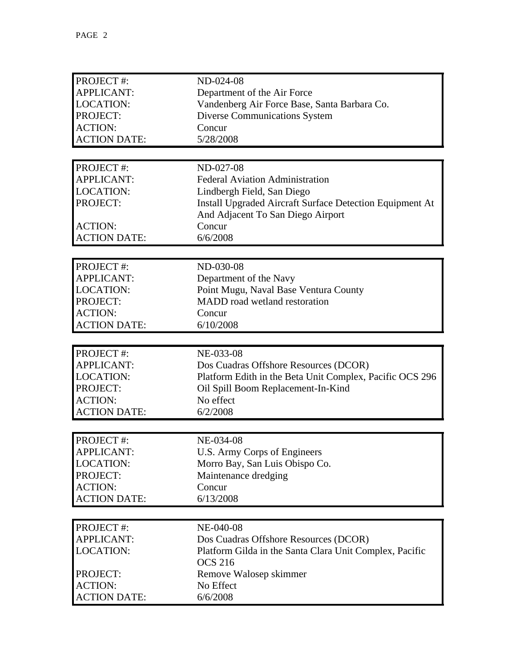| PROJECT#:           | ND-024-08                                                |  |  |  |
|---------------------|----------------------------------------------------------|--|--|--|
| <b>APPLICANT:</b>   | Department of the Air Force                              |  |  |  |
| <b>LOCATION:</b>    | Vandenberg Air Force Base, Santa Barbara Co.             |  |  |  |
| PROJECT:            | <b>Diverse Communications System</b>                     |  |  |  |
| <b>ACTION:</b>      | Concur                                                   |  |  |  |
| <b>ACTION DATE:</b> | 5/28/2008                                                |  |  |  |
|                     |                                                          |  |  |  |
| PROJECT#:           | ND-027-08                                                |  |  |  |
| <b>APPLICANT:</b>   | <b>Federal Aviation Administration</b>                   |  |  |  |
| <b>LOCATION:</b>    | Lindbergh Field, San Diego                               |  |  |  |
| PROJECT:            | Install Upgraded Aircraft Surface Detection Equipment At |  |  |  |
|                     | And Adjacent To San Diego Airport                        |  |  |  |
| <b>ACTION:</b>      | Concur                                                   |  |  |  |
| <b>ACTION DATE:</b> | 6/6/2008                                                 |  |  |  |
|                     |                                                          |  |  |  |
| PROJECT#:           | ND-030-08                                                |  |  |  |
| <b>APPLICANT:</b>   | Department of the Navy                                   |  |  |  |
| <b>LOCATION:</b>    | Point Mugu, Naval Base Ventura County                    |  |  |  |
| PROJECT:            | MADD road wetland restoration                            |  |  |  |
| <b>ACTION:</b>      | Concur                                                   |  |  |  |
| <b>ACTION DATE:</b> | 6/10/2008                                                |  |  |  |
|                     |                                                          |  |  |  |
|                     |                                                          |  |  |  |
| PROJECT#:           | NE-033-08                                                |  |  |  |
| <b>APPLICANT:</b>   | Dos Cuadras Offshore Resources (DCOR)                    |  |  |  |
| <b>LOCATION:</b>    | Platform Edith in the Beta Unit Complex, Pacific OCS 296 |  |  |  |
| PROJECT:            | Oil Spill Boom Replacement-In-Kind                       |  |  |  |
| <b>ACTION:</b>      | No effect                                                |  |  |  |
| <b>ACTION DATE:</b> | 6/2/2008                                                 |  |  |  |
|                     |                                                          |  |  |  |
| PROJECT #:          | NE-034-08                                                |  |  |  |
| <b>APPLICANT:</b>   | U.S. Army Corps of Engineers                             |  |  |  |
| <b>LOCATION:</b>    | Morro Bay, San Luis Obispo Co.                           |  |  |  |
| PROJECT:            | Maintenance dredging                                     |  |  |  |
| <b>ACTION:</b>      | Concur                                                   |  |  |  |
| <b>ACTION DATE:</b> | 6/13/2008                                                |  |  |  |
|                     |                                                          |  |  |  |
| PROJECT #:          | NE-040-08                                                |  |  |  |
| <b>APPLICANT:</b>   | Dos Cuadras Offshore Resources (DCOR)                    |  |  |  |
| <b>LOCATION:</b>    | Platform Gilda in the Santa Clara Unit Complex, Pacific  |  |  |  |
|                     | <b>OCS 216</b>                                           |  |  |  |
| PROJECT:            | Remove Walosep skimmer                                   |  |  |  |
| <b>ACTION:</b>      | No Effect                                                |  |  |  |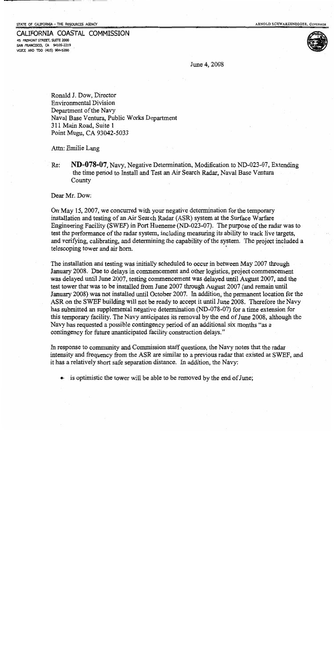STATE OF CALIFORNIA -- THE RESOURCES AGENCY

45 FREMONT STREET, SUITE 2000 SAN FRANCISCO, CA 94105-2219 VOICE AND TDD (415) 904-5200

CALIFORNIA COASTAL COMMISSION

June 4, 2008

Ronald J. Dow, Director **Environmental Division** Department of the Navy Naval Base Ventura, Public Works Department 311 Main Road, Suite 1 Point Mugu, CA 93042-5033

Attn: Emilie Lang

Re: **ND-078-07,** Navy, Negative Determination, Modification to ND-023-07, Extending the time period to Install and Test an Air Search Radar, Naval Base Ventura County

Dear Mr. Dow:

On May 15, 2007, we concurred with your negative determination for the temporary installation and testing of an Air Search Radar (ASR) system at the Surface Warfare Engineering Facility (SWEF) in Port Hueneme (ND-023-07). The purpose of the radar was to test the performance of the radar system, including measuring its ability to track live targets, and verifying, calibrating, and determining the capability of the system. The project included a telescoping tower and air horn.

The installation and testing was initially scheduled to occur in between May 2007 through January 2008. Due to delays in commencement and other logistics, project commencement was delayed until June 2007, testing commencement was delayed until August 2007, and the test tower that was to be installed from June 2007 through August 2007 (and remain until January 2008) was not installed until October 2007. In addition, the permanent location for the ASR on the SWEF building will not be ready to accept it until June 2008. Therefore the Navy has submitted an supplemental negative determination (ND-078-07) for a time extension for this temporary facility. The Navy anticipates its removal by the end of June 2008, although the Navy has requested a possible contingency period of an additional six months "as a contingency for future unanticipated facility construction delays."

In response to community and Commission staff questions, the Navy notes that the radar intensity and frequency from the ASR are similar to a previous radar that existed at SWEF, and it has a relatively short safe separation distance. In addition, the Navy:

• is optimistic the tower will be able to be removed by the end of June;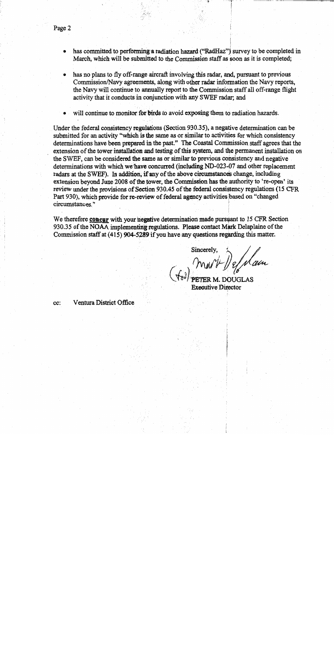- has committed to performing a radiation hazard ("RadHaz") survey to be completed in March, which will be submitted to the Commission staff as soon as it is completed;
- has no plans to fly off-range aircraft involving this radar, and, pursuant to previous Commission/Navy agreements, along with other radar information the Navy reports, the Navy will continue to annually report to the Commission staff all off-range flight activity that it conducts in conjunction with any SWEF radar; and
- will continue to monitor for birds to avoid exposing them to radiation hazards.

Under the federal consistency regulations (Section 930.35), a negative determination can be submitted for an activity "which is the same as or similar to activities for which consistency determinations have been prepared in the past." The Coastal Commission staff agrees that the extension of the tower installation and testing of this system, and the permanent installation on the SWEF, can be considered the same as or similar to previous consistency and negative determinations with which we have concurred (including ND-023-07 and other replacement radars at the SWEF). In addition, if any of the above circumstances change, including extension beyond June 2008 of the tower, the Commission has the authority to 're-open' its review under the provisions of Section 930.45 of the federal consistency regulations (15 CFR) Part 930), which provide for re-review of federal agency activities based on "changed" circumstances."

We therefore concur with your negative determination made pursuant to 15 CFR Section 930.35 of the NOAA implementing regulations. Please contact Mark Delaplaine of the Commission staff at (415) 904-5289 if you have any questions regarding this matter.

(ta) mont Defilain

xecutive Director

Ventura District Office cc: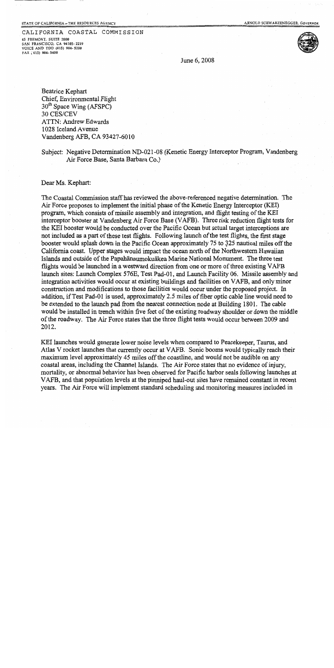### CALIFORNIA COASTAL COMMISSION

45 FREMONT, SUITE 2000 **5AN FRANCISCO, CA 94105-2219** VOICE AND TDD (415) 904-5200 FAX (415) 904-5400



June 6, 2008

Beatrice Kephart Chief, Environmental Flight  $30<sup>th</sup>$  Space Wing (AFSPC) 30 CES/CEV **ATTN: Andrew Edwards** 1028 Iceland Avenue Vandenberg AFB, CA 93427-6010

Subject: Negative Determination ND-021-08 (Kenetic Energy Interceptor Program, Vandenberg Air Force Base, Santa Barbara Co.)

### Dear Ms. Kephart:

The Coastal Commission staff has reviewed the above-referenced negative determination. The Air Force proposes to implement the initial phase of the Kenetic Energy Interceptor (KEI) program, which consists of missile assembly and integration, and flight testing of the KEI interceptor booster at Vandenberg Air Force Base (VAFB). Three risk reduction flight tests for the KEI booster would be conducted over the Pacific Ocean but actual target interceptions are not included as a part of these test flights. Following launch of the test flights, the first stage booster would splash down in the Pacific Ocean approximately 75 to 325 nautical miles off the California coast. Upper stages would impact the ocean north of the Northwestern Hawaiian Islands and outside of the Papahānaumokuākea Marine National Monument. The three test flights would be launched in a westward direction from one or more of three existing VAFB launch sites: Launch Complex 576E, Test Pad-01, and Launch Facility 06. Missile assembly and integration activities would occur at existing buildings and facilities on VAFB, and only minor construction and modifications to those facilities would occur under the proposed project. In addition, if Test Pad-01 is used, approximately 2.5 miles of fiber optic cable line would need to be extended to the launch pad from the nearest connection node at Building 1801. The cable would be installed in trench within five feet of the existing roadway shoulder or down the middle of the roadway. The Air Force states that the three flight tests would occur between 2009 and 2012.

KEI launches would generate lower noise levels when compared to Peacekeeper, Taurus, and Atlas V rocket launches that currently occur at VAFB. Sonic booms would typically reach their maximum level approximately 45 miles off the coastline, and would not be audible on any coastal areas, including the Channel Islands. The Air Force states that no evidence of injury, mortality, or abnormal behavior has been observed for Pacific harbor seals following launches at VAFB, and that population levels at the pinniped haul-out sites have remained constant in recent years. The Air Force will implement standard scheduling and monitoring measures included in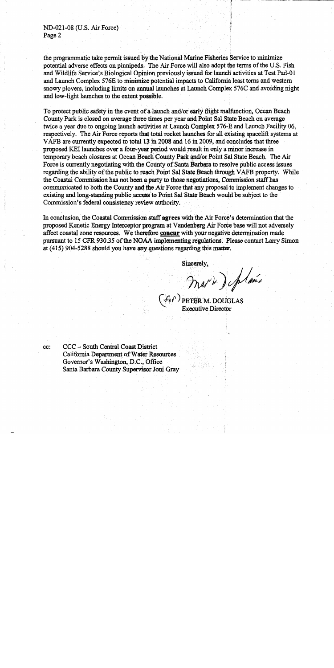ND-021-08 (U.S. Air Force) Page 2

the programmatic take permit issued by the National Marine Fisheries Service to minimize potential adverse effects on pinnipeds. The Air Force will also adopt the terms of the U.S. Fish and Wildlife Service's Biological Opinion previously issued for launch activities at Test Pad-01 and Launch Complex 576E to minimize potential impacts to California least terns and western snowy ployers, including limits on annual launches at Launch Complex 576C and avoiding night and low-light launches to the extent possible.

To protect public safety in the event of a launch and/or early flight malfunction, Ocean Beach County Park is closed on average three times per year and Point Sal State Beach on average twice a year due to ongoing launch activities at Launch Complex 576-E and Launch Facility 06, respectively. The Air Force reports that total rocket launches for all existing spacelift systems at VAFB are currently expected to total 13 in 2008 and 16 in 2009, and concludes that three proposed KEI launches over a four-year period would result in only a minor increase in temporary beach closures at Ocean Beach County Park and/or Point Sal State Beach. The Air Force is currently negotiating with the County of Santa Barbara to resolve public access issues regarding the ability of the public to reach Point Sal State Beach through VAFB property. While the Coastal Commission has not been a party to those negotiations, Commission staff has communicated to both the County and the Air Force that any proposal to implement changes to existing and long-standing public access to Point Sal State Beach would be subject to the Commission's federal consistency review authority.

In conclusion, the Coastal Commission staff agrees with the Air Force's determination that the proposed Kenetic Energy Interceptor program at Vandenberg Air Force base will not adversely affect coastal zone resources. We therefore concur with your negative determination made pursuant to 15 CFR 930.35 of the NOAA implementing regulations. Please contact Larry Simon at (415) 904-5288 should you have any questions regarding this matter.

Sincerely.

Mark) plance

**Executive Director** 

cc:

CCC - South Central Coast District California Department of Water Resources Governor's Washington, D.C., Office Santa Barbara County Supervisor Joni Gray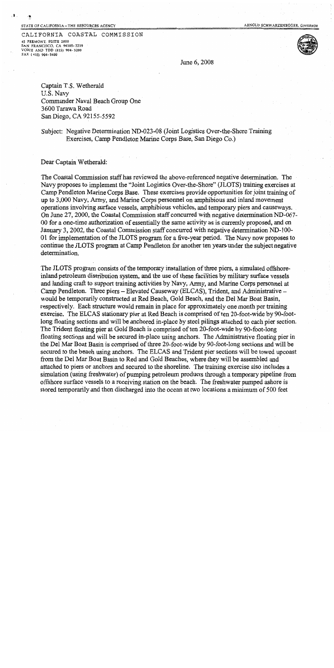#### STATE OF CALIFORNIA-THE RESOURCES AGENCY

÷

ARNOLD SCHWARZENEGGER, GOVERNOR

CALIFORNIA COASTAL COMMISSION 45 FREMONT, SUITE 2000 SAN FRANCISCO, CA 94105-2219 VOICE AND TDD (415) 904-5200 FAX (415) 904-5400



June 6, 2008

Captain T.S. Wetherald U.S. Navy Commander Naval Beach Group One 3600 Tarawa Road San Diego, CA 92155-5592

Subject: Negative Determination ND-023-08 (Joint Logistics Over-the-Shore Training Exercises, Camp Pendleton Marine Corps Base, San Diego Co.)

Dear Captain Wetherald:

The Coastal Commission staff has reviewed the above-referenced negative determination. The Navy proposes to implement the "Joint Logistics Over-the-Shore" (JLOTS) training exercises at Camp Pendleton Marine Corps Base. These exercises provide opportunities for joint training of up to 3,000 Navy, Army, and Marine Corps personnel on amphibious and inland movement operations involving surface vessels, amphibious vehicles, and temporary piers and causeways. On June 27, 2000, the Coastal Commission staff concurred with negative determination ND-067-00 for a one-time authorization of essentially the same activity as is currently proposed, and on January 3, 2002, the Coastal Commission staff concurred with negative determination ND-100-01 for implementation of the JLOTS program for a five-year period. The Navy now proposes to continue the JLOTS program at Camp Pendleton for another ten years under the subject negative determination.

The JLOTS program consists of the temporary installation of three piers, a simulated offshoreinland petroleum distribution system, and the use of these facilities by military surface vessels and landing craft to support training activities by Navy, Army, and Marine Corps personnel at Camp Pendleton. Three piers – Elevated Causeway (ELCAS), Trident, and Administrative – would be temporarily constructed at Red Beach, Gold Beach, and the Del Mar Boat Basin, respectively. Each structure would remain in place for approximately one month per training exercise. The ELCAS stationary pier at Red Beach is comprised of ten 20-foot-wide by 90-footlong floating sections and will be anchored in-place by steel pilings attached to each pier section. The Trident floating pier at Gold Beach is comprised of ten 20-foot-wide by 90-foot-long floating sections and will be secured in-place using anchors. The Administrative floating pier in the Del Mar Boat Basin is comprised of three 20-foot-wide by 90-foot-long sections and will be secured to the beach using anchors. The ELCAS and Trident pier sections will be towed upcoast from the Del Mar Boat Basin to Red and Gold Beaches, where they will be assembled and attached to piers or anchors and secured to the shoreline. The training exercise also includes a simulation (using freshwater) of pumping petroleum products through a temporary pipeline from offshore surface vessels to a receiving station on the beach. The freshwater pumped ashore is stored temporarily and then discharged into the ocean at two locations a minimum of 500 feet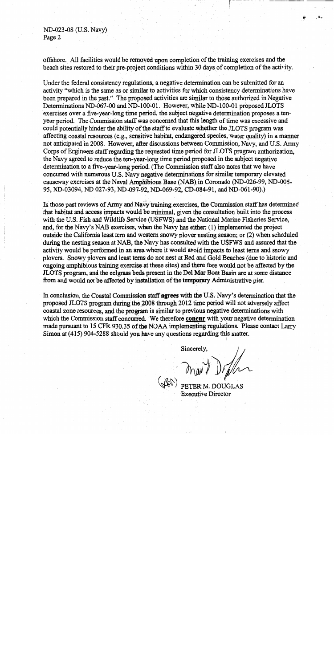ND-023-08 (U.S. Navy) Page 2

offshore. All facilities would be removed upon completion of the training exercises and the beach sites restored to their pre-project conditions within 30 days of completion of the activity.

Under the federal consistency regulations, a negative determination can be submitted for an activity "which is the same as or similar to activities for which consistency determinations have been prepared in the past." The proposed activities are similar to those authorized in Negative Determinations ND-067-00 and ND-100-01. However, while ND-100-01 proposed JLOTS exercises over a five-year-long time period, the subject negative determination proposes a tenyear period. The Commission staff was concerned that this length of time was excessive and could potentially hinder the ability of the staff to evaluate whether the JLOTS program was affecting coastal resources (e.g., sensitive habitat, endangered species, water quality) in a manner not anticipated in 2008. However, after discussions between Commission, Navy, and U.S. Army Corps of Engineers staff regarding the requested time period for JLOTS program authorization. the Navy agreed to reduce the ten-year-long time period proposed in the subject negative determination to a five-year-long period. (The Commission staff also notes that we have concurred with numerous U.S. Navy negative determinations for similar temporary elevated causeway exercises at the Naval Amphibious Base (NAB) in Coronado (ND-026-99, ND-005-95, ND-03094, ND 027-93, ND-097-92, ND-069-92, CD-084-91, and ND-061-90).)

In those past reviews of Army and Navy training exercises, the Commission staff has determined that habitat and access impacts would be minimal, given the consultation built into the process with the U.S. Fish and Wildlife Service (USFWS) and the National Marine Fisheries Service, and, for the Navy's NAB exercises, when the Navy has either: (1) implemented the project outside the California least tern and western snowy plover nesting season; or (2) when scheduled during the nesting season at NAB, the Navy has consulted with the USFWS and assured that the activity would be performed in an area where it would avoid impacts to least terns and snowy plovers. Snowy plovers and least terns do not nest at Red and Gold Beaches (due to historic and ongoing amphibious training exercise at these sites) and there fore would not be affected by the JLOTS program, and the eelgrass beds present in the Del Mar Boat Basin are at some distance from and would not be affected by installation of the temporary Administrative pier.

In conclusion, the Coastal Commission staff agrees with the U.S. Navy's determination that the proposed JLOTS program during the 2008 through 2012 time period will not adversely affect coastal zone resources, and the program is similar to previous negative determinations with which the Commission staff concurred. We therefore concur with your negative determination made pursuant to 15 CFR 930.35 of the NOAA implementing regulations. Please contact Larry Simon at  $(415)$  904-5288 should you have any questions regarding this matter.

Sincerely.

PETER M. DOUGLAS **Executive Director**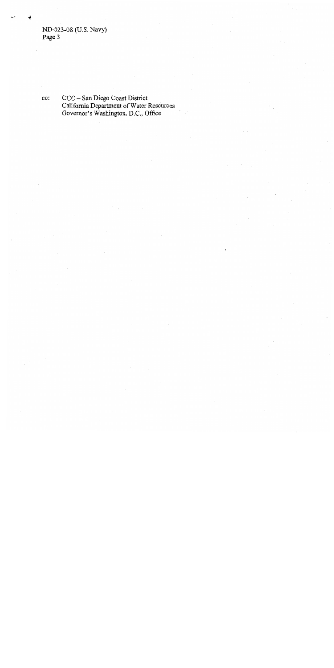cc:

CCC – San Diego Coast District<br>California Department of Water Resources<br>Governor's Washington, D.C., Office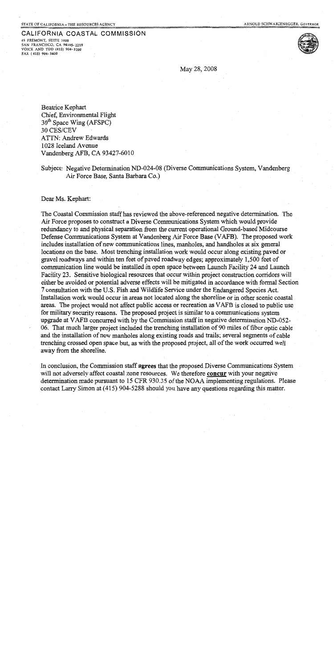### CALIFORNIA COASTAL COMMISSION

45 FREMONT, SUITE 2000 SAN FRANCISCO, CA 94105-2219 VOICE AND TDD (415) 904-5200 FAX (415) 904-5400



May 28, 2008

Beatrice Kephart Chief, Environmental Flight 30<sup>th</sup> Space Wing (AFSPC) 30 CES/CEV **ATTN: Andrew Edwards** 1028 Iceland Avenue Vandenberg AFB, CA 93427-6010

### Subject: Negative Determination ND-024-08 (Diverse Communications System, Vandenberg Air Force Base, Santa Barbara Co.)

Dear Ms. Kephart:

The Coastal Commission staff has reviewed the above-referenced negative determination. The Air Force proposes to construct a Diverse Communications System which would provide redundancy to and physical separation from the current operational Ground-based Midcourse Defense Communications System at Vandenberg Air Force Base (VAFB). The proposed work includes installation of new communications lines, manholes, and handholes at six general locations on the base. Most trenching installation work would occur along existing paved or gravel roadways and within ten feet of paved roadway edges; approximately 1,500 feet of communication line would be installed in open space between Launch Facility 24 and Launch Facility 23. Sensitive biological resources that occur within project construction corridors will either be avoided or potential adverse effects will be mitigated in accordance with formal Section 7 consultation with the U.S. Fish and Wildlife Service under the Endangered Species Act. Installation work would occur in areas not located along the shoreline or in other scenic coastal areas. The project would not affect public access or recreation as VAFB is closed to public use for military security reasons. The proposed project is similar to a communications system upgrade at VAFB concurred with by the Commission staff in negative determination ND-052-06. That much larger project included the trenching installation of 90 miles of fiber optic cable and the installation of new manholes along existing roads and trails; several segments of cable trenching crossed open space but, as with the proposed project, all of the work occurred well away from the shoreline.

In conclusion, the Commission staff agrees that the proposed Diverse Communications System will not adversely affect coastal zone resources. We therefore concur with your negative determination made pursuant to 15 CFR 930.35 of the NOAA implementing regulations. Please contact Larry Simon at (415) 904-5288 should you have any questions regarding this matter.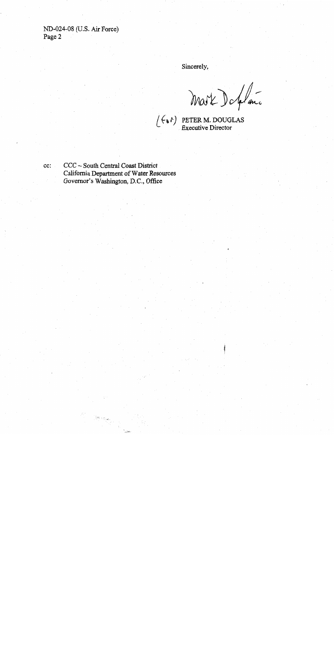ND-024-08 (U.S. Air Force) Page 2

cc:

Sincerely,

Mart Deffance

CCC - South Central Coast District California Department of Water Resources Governor's Washington, D.C., Office

 $\left[\begin{smallmatrix} 1 & 0 & 0 \\ 0 & 0 & 0 \\ 0 & 0 & 0 \end{smallmatrix}\right] \left[\begin{smallmatrix} 1 & 0 & 0 \\ 0 & 0 & 0 \\ 0 & 0 & 0 \end{smallmatrix}\right] \right]_{\mathcal{F}_{\mathcal{F}_{\mathcal{F}}}(\mathcal{F}_{\mathcal{F}_{\mathcal{F}}}(\mathcal{F}_{\mathcal{F}_{\mathcal{F}}}))}$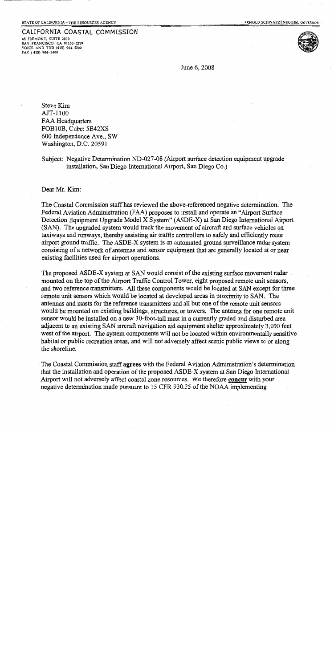### CALIFORNIA COASTAL COMMISSION

45 FREMONT, SUITE 2000 SAN FRANCISCO, CA 94105-2219 VOICE AND TDD (415) 904-5200 FAX (415) 904-5400



June 6, 2008

Steve Kim AJT-1100 **FAA Headquarters** FOB10B, Cube: 5E42XS 600 Independence Ave., SW Washington, D.C. 20591

Subject: Negative Determination ND-027-08 (Airport surface detection equipment upgrade installation, San Diego International Airport, San Diego Co.)

Dear Mr. Kim:

The Coastal Commission staff has reviewed the above-referenced negative determination. The Federal Aviation Administration (FAA) proposes to install and operate an "Airport Surface" Detection Equipment Upgrade Model X System" (ASDE-X) at San Diego International Airport (SAN). The upgraded system would track the movement of aircraft and surface vehicles on taxiways and runways, thereby assisting air traffic controllers to safely and efficiently route airport ground traffic. The ASDE-X system is an automated ground surveillance radar system consisting of a network of antennas and sensor equipment that are generally located at or near existing facilities used for airport operations.

The proposed ASDE-X system at SAN would consist of the existing surface movement radar mounted on the top of the Airport Traffic Control Tower, eight proposed remote unit sensors, and two reference transmitters. All these components would be located at SAN except for three remote unit sensors which would be located at developed areas in proximity to SAN. The antennas and masts for the reference transmitters and all but one of the remote unit sensors would be mounted on existing buildings, structures, or towers. The antenna for one remote unit sensor would be installed on a new 30-foot-tall mast in a currently graded and disturbed area adjacent to an existing SAN aircraft navigation aid equipment shelter approximately 3,000 feet west of the airport. The system components will not be located within environmentally sensitive habitat or public recreation areas, and will not adversely affect scenic public views to or along the shoreline.

The Coastal Commission staff agrees with the Federal Aviation Administration's determination that the installation and operation of the proposed ASDE-X system at San Diego International Airport will not adversely affect coastal zone resources. We therefore concur with your negative determination made pursuant to 15 CFR 930.35 of the NOAA implementing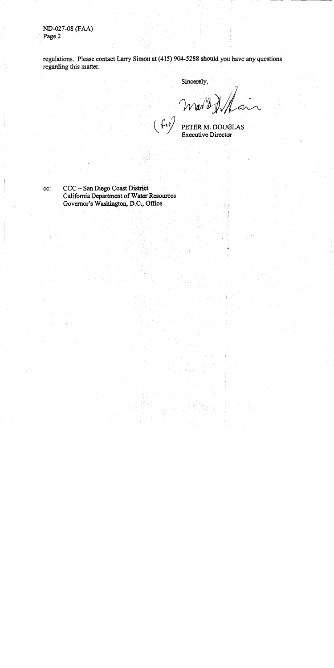ND-027-08 (FAA) Page 2

regulations. Please contact Larry Simon at (415) 904-5288 should you have any questions regarding this matter.

 $f(x)$ 

Sincerely,

Mar B X La

cc:

CCC - San Diego Coast District California Department of Water Resources Governor's Washington, D.C., Office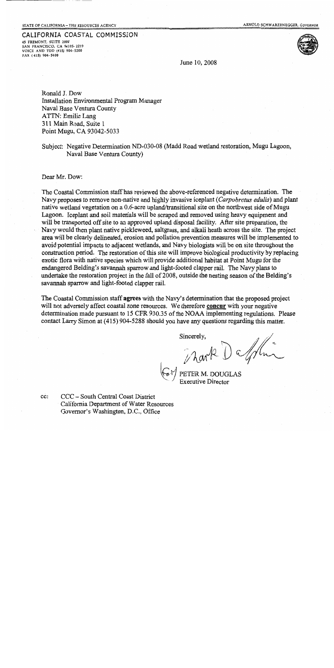### CALIFORNIA COASTAL COMMISSION 45 FREMONT, SUITE 2000

SAN FRANCISCO, CA 94105-2219 VOICE AND TDD (415) 904-5200 FAX (415) 904-5400



June 10, 2008

Ronald J. Dow Installation Environmental Program Manager Naval Base Ventura County ATTN: Emilie Lang 311 Main Road, Suite 1 Point Mugu, CA 93042-5033

Subject: Negative Determination ND-030-08 (Madd Road wetland restoration, Mugu Lagoon, Naval Base Ventura County)

Dear Mr. Dow:

cc:

The Coastal Commission staff has reviewed the above-referenced negative determination. The Navy proposes to remove non-native and highly invasive iceplant (Carpobrotus edulis) and plant native wetland vegetation on a 0.6-acre upland/transitional site on the northwest side of Mugu Lagoon. Iceplant and soil materials will be scraped and removed using heavy equipment and will be transported off site to an approved upland disposal facility. After site preparation, the Navy would then plant native pickleweed, saltgrass, and alkali heath across the site. The project area will be clearly delineated, erosion and pollution prevention measures will be implemented to avoid potential impacts to adjacent wetlands, and Navy biologists will be on site throughout the construction period. The restoration of this site will improve biological productivity by replacing exotic flora with native species which will provide additional habitat at Point Mugu for the endangered Belding's savannah sparrow and light-footed clapper rail. The Navy plans to undertake the restoration project in the fall of 2008, outside the nesting season of the Belding's savannah sparrow and light-footed clapper rail.

The Coastal Commission staff agrees with the Navy's determination that the proposed project will not adversely affect coastal zone resources. We therefore concur with your negative determination made pursuant to 15 CFR 930.35 of the NOAA implementing regulations. Please contact Larry Simon at (415) 904-5288 should you have any questions regarding this matter.

Mark Damur

CCC - South Central Coast District California Department of Water Resources Governor's Washington, D.C., Office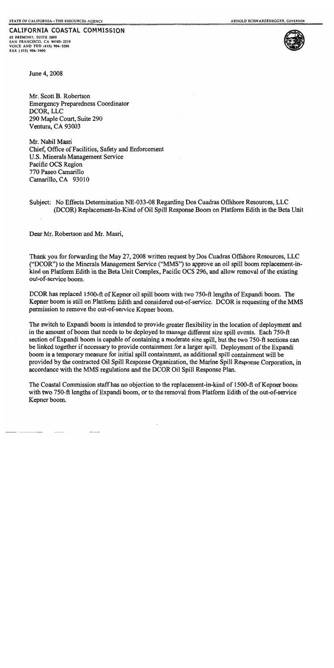CALIFORNIA COASTAL COMMISSION 45 FREMONT, SUITE 2000 SAN FRANCISCO, CA 94105-2219 VOICE AND TDD (415) 904-5200



June 4, 2008

FAX (415) 904-5400

Mr. Scott B. Robertson **Emergency Preparedness Coordinator** DCOR, LLC 290 Maple Court, Suite 290 Ventura, CA 93003

Mr. Nabil Masri Chief, Office of Facilities, Safety and Enforcement U.S. Minerals Management Service Pacific OCS Region 770 Paseo Camarillo Camarillo, CA 93010

Subject: No Effects Determination NE-033-08 Regarding Dos Cuadras Offshore Resources, LLC (DCOR) Replacement-In-Kind of Oil Spill Response Boom on Platform Edith in the Beta Unit

Dear Mr. Robertson and Mr. Masri,

Thank you for forwarding the May 27, 2008 written request by Dos Cuadras Offshore Resources, LLC ("DCOR") to the Minerals Management Service ("MMS") to approve an oil spill boom replacement-inkind on Platform Edith in the Beta Unit Complex, Pacific OCS 296, and allow removal of the existing out-of-service boom.

DCOR has replaced 1500-ft of Kepner oil spill boom with two 750-ft lengths of Expandi boom. The Kepner boom is still on Platform Edith and considered out-of-service. DCOR is requesting of the MMS permission to remove the out-of-service Kepner boom.

The switch to Expandi boom is intended to provide greater flexibility in the location of deployment and in the amount of boom that needs to be deployed to manage different size spill events. Each 750-ft section of Expandi boom is capable of containing a moderate size spill, but the two 750-ft sections can be linked together if necessary to provide containment for a larger spill. Deployment of the Expandi boom is a temporary measure for initial spill containment, as additional spill containment will be provided by the contracted Oil Spill Response Organization, the Marine Spill Response Corporation, in accordance with the MMS regulations and the DCOR Oil Spill Response Plan.

The Coastal Commission staff has no objection to the replacement-in-kind of 1500-ft of Kepner boom with two 750-ft lengths of Expandi boom, or to the removal from Platform Edith of the out-of-service Kepner boom.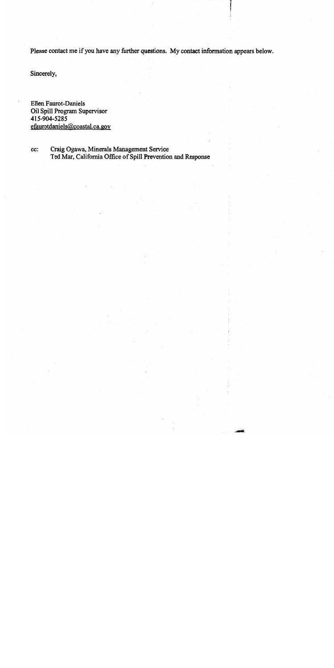Please contact me if you have any further questions. My contact information appears below.

Sincerely,

**Ellen Faurot-Daniels** Oil Spill Program Supervisor 415-904-5285 efaurotdaniels@coastal.ca.gov

Craig Ogawa, Minerals Management Service cc: Ted Mar, California Office of Spill Prevention and Response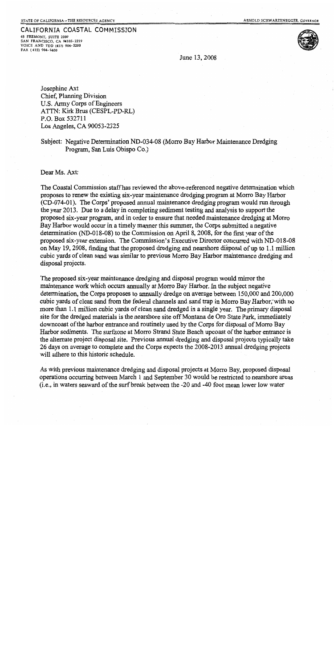### STATE OF CALIFORNIA - THE RESOURCES AGENCY

## CALIFORNIA COASTAL COMMISSION

45 FREMONT, SUITE 2000 SAN FRANCISCO, CA 94105-2219<br>VOICE AND TDD (415) 904-5200 FAX (415) 904-5400

June 13, 2008

Josephine Axt Chief, Planning Division U.S. Army Corps of Engineers ATTN: Kirk Brus (CESPL-PD-RL) P.O. Box 532711 Los Angeles, CA 90053-2325

Subject: Negative Determination ND-034-08 (Morro Bay Harbor Maintenance Dredging Program, San Luis Obispo Co.)

Dear Ms. Axt:

The Coastal Commission staff has reviewed the above-referenced negative determination which proposes to renew the existing six-year maintenance dredging program at Morro Bay Harbor (CD-074-01). The Corps' proposed annual maintenance dredging program would run through the year 2013. Due to a delay in completing sediment testing and analysis to support the proposed six-year program, and in order to ensure that needed maintenance dredging at Morro Bay Harbor would occur in a timely manner this summer, the Corps submitted a negative determination (ND-018-08) to the Commission on April 8, 2008, for the first year of the proposed six-year extension. The Commission's Executive Director concurred with ND-018-08 on May 19, 2008, finding that the proposed dredging and nearshore disposal of up to 1.1 million cubic yards of clean sand was similar to previous Morro Bay Harbor maintenance dredging and disposal projects.

The proposed six-year maintenance dredging and disposal program would mirror the maintenance work which occurs annually at Morro Bay Harbor. In the subject negative determination, the Corps proposes to annually dredge on average between 150,000 and 200,000 cubic yards of clean sand from the federal channels and sand trap in Morro Bay Harbor, with no more than 1.1 million cubic yards of clean sand dredged in a single year. The primary disposal site for the dredged materials is the nearshore site off Montana de Oro State Park, immediately downcoast of the harbor entrance and routinely used by the Corps for disposal of Morro Bay Harbor sediments. The surfzone at Morro Strand State Beach upcoast of the harbor entrance is the alternate project disposal site. Previous annual dredging and disposal projects typically take 26 days on average to complete and the Corps expects the 2008-2013 annual dredging projects will adhere to this historic schedule.

As with previous maintenance dredging and disposal projects at Morro Bay, proposed disposal operations occurring between March 1 and September 30 would be restricted to nearshore areas (i.e., in waters seaward of the surf break between the -20 and -40 foot mean lower low water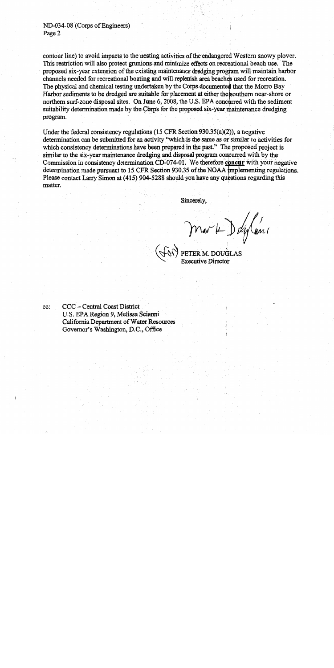contour line) to avoid impacts to the nesting activities of the endangered Western snowy plover. This restriction will also protect grunions and minimize effects on recreational beach use. The proposed six-year extension of the existing maintenance dredging program will maintain harbor channels needed for recreational boating and will replenish area beaches used for recreation. The physical and chemical testing undertaken by the Corps documented that the Morro Bay Harbor sediments to be dredged are suitable for placement at either the southern near-shore or northern surf-zone disposal sites. On June 6, 2008, the U.S. EPA concurred with the sediment suitability determination made by the Corps for the proposed six-year maintenance dredging program.

Under the federal consistency regulations (15 CFR Section  $930.35(a)(2)$ ), a negative determination can be submitted for an activity "which is the same as or similar to activities for which consistency determinations have been prepared in the past." The proposed project is similar to the six-year maintenance dredging and disposal program concurred with by the Commission in consistency determination CD-074-01. We therefore concur with your negative determination made pursuant to 15 CFR Section 930.35 of the NOAA implementing regulations. Please contact Larry Simon at (415) 904-5288 should you have any questions regarding this matter.

Sincerely.

Mark Deglans

cc:

CCC - Central Coast District U.S. EPA Region 9, Melissa Scianni California Department of Water Resources Governor's Washington, D.C., Office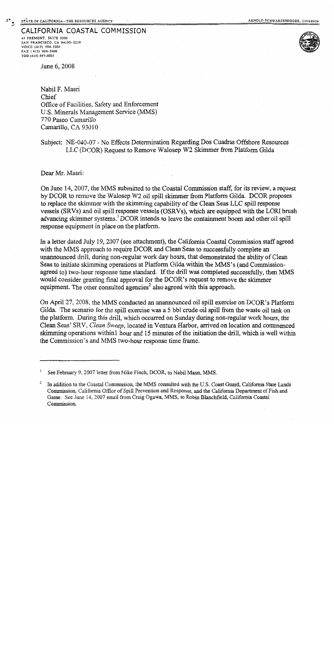### CALIFORNIA COASTAL COMMISSION

45 FREMONT, SUITE 2000 SAN FRANCISCO, CA 94105-2219 VOICE (415) 904-5200 FAX (415) 904-5400 TDD (415) 597-5885



June 6, 2008

Nabil F. Masri Chief Office of Facilities, Safety and Enforcement U.S. Minerals Management Service (MMS) 770 Paseo Camarillo Camarillo, CA 93010

### Subject: NE-040-07 - No Effects Determination Regarding Dos Cuadras Offshore Resources LLC (DCOR) Request to Remove Walosep W2 Skimmer from Platform Gilda

Dear Mr. Masri:

On June 14, 2007, the MMS submitted to the Coastal Commission staff, for its review, a request by DCOR to remove the Walosep W2 oil spill skimmer from Platform Gilda. DCOR proposes to replace the skimmer with the skimming capability of the Clean Seas LLC spill response vessels (SRVs) and oil spill response vessels (OSRVs), which are equipped with the LORI brush advancing skimmer systems.<sup>1</sup> DCOR intends to leave the containment boom and other oil spill response equipment in place on the platform.

In a letter dated July 19, 2007 (see attachment), the California Coastal Commission staff agreed with the MMS approach to require DCOR and Clean Seas to successfully complete an unannounced drill, during non-regular work day hours, that demonstrated the ability of Clean Seas to initiate skimming operations at Platform Gilda within the MMS's (and Commissionagreed to) two-hour response time standard. If the drill was completed successfully, then MMS would consider granting final approval for the DCOR's request to remove the skimmer equipment. The other consulted agencies<sup>2</sup> also agreed with this approach.

On April 27, 2008, the MMS conducted an unannounced oil spill exercise on DCOR's Platform Gilda. The scenario for the spill exercise was a 5 bbl crude oil spill from the waste oil tank on the platform. During this drill, which occurred on Sunday during non-regular work hours, the Clean Seas' SRV, Clean Sweep, located in Ventura Harbor, arrived on location and commenced skimming operations within 1 hour and 15 minutes of the initiation the drill, which is well within the Commission's and MMS two-hour response time frame.

See February 9, 2007 letter from Mike Finch, DCOR, to Nabil Masri, MMS.

<sup>2</sup> In addition to the Coastal Commission, the MMS consulted with the U.S. Coast Guard, California State Lands Commission, California Office of Spill Prevention and Response, and the California Department of Fish and Game. See June 14, 2007 email from Craig Ogawa, MMS, to Robin Blanchfield, California Coastal Commission.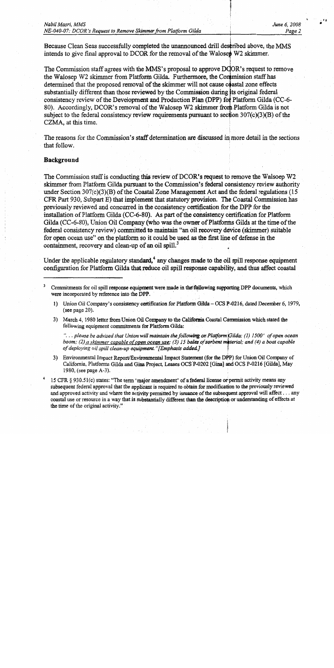Because Clean Seas successfully completed the unannounced drill described above, the MMS intends to give final approval to DCOR for the removal of the Waloset W2 skimmer.

The Commission staff agrees with the MMS's proposal to approve DCOR's request to remove the Walosep W2 skimmer from Platform Gilda. Furthermore, the Commission staff has determined that the proposed removal of the skimmer will not cause coastal zone effects substantially different than those reviewed by the Commission during its original federal consistency review of the Development and Production Plan (DPP) for Platform Gilda (CC-6-80). Accordingly, DCOR's removal of the Walosep W2 skimmer from Platform Gilda is not subject to the federal consistency review requirements pursuant to section  $307(c)(3)(B)$  of the CZMA, at this time.

The reasons for the Commission's staff determination are discussed in more detail in the sections that follow.

### **Background**

The Commission staff is conducting this review of DCOR's request to remove the Walsoep W2 skimmer from Platform Gilda pursuant to the Commission's federal consistency review authority under Section  $307(c)(3)(B)$  of the Coastal Zone Management Act and the federal regulations (15) CFR Part 930, Subpart E) that implement that statutory provision. The Coastal Commission has previously reviewed and concurred in the consistency certification for the DPP for the installation of Platform Gilda (CC-6-80). As part of the consistency certification for Platform Gilda (CC-6-80), Union Oil Company (who was the owner of Platforms Gilda at the time of the federal consistency review) committed to maintain "an oil recovery device (skimmer) suitable for open ocean use" on the platform so it could be used as the first line of defense in the containment, recovery and clean-up of an oil spill.<sup>3</sup>

Under the applicable regulatory standard,  $4$  any changes made to the oil spill response equipment configuration for Platform Gilda that reduce oil spill response capability, and thus affect coastal

Commitments for oil spill response equipment were made in the following supporting DPP documents, which were incorporated by reference into the DPP.

Union Oil Company's consistency certification for Platform Gilda - OCS P-0216, dated December 6, 1979,  $1)$ (see page  $20$ ).

3) March 4, 1980 letter from Union Oil Company to the California Coastal Commission which stated the following equipment commitments for Platform Gilda:

"... please be advised that Union will maintain the following on Platform Gilda: (1) 1500' of open ocean boom; (2) a skimmer capable of open ocean use; (3) 15 bales of sorbent material; and (4) a boat capable of deploying oil spill clean-up equipment."[Emphasis added.]

3) Environmental Impact Report/Environmental Impact Statement (for the DPP) for Union Oil Company of California, Platforms Gilda and Gina Project, Leases OCS P-0202 [Gina] and OCS P-0216 [Gilda], May 1980, (see page A-3).

15 CFR § 930.51(c) states: "The term 'major amendment' of a federal license or permit activity means any subsequent federal approval that the applicant is required to obtain for modification to the previously reviewed and approved activity and where the activity permitted by issuance of the subsequent approval will affect . . . any coastal use or resource in a way that is substantially different than the description or understanding of effects at the time of the original activity."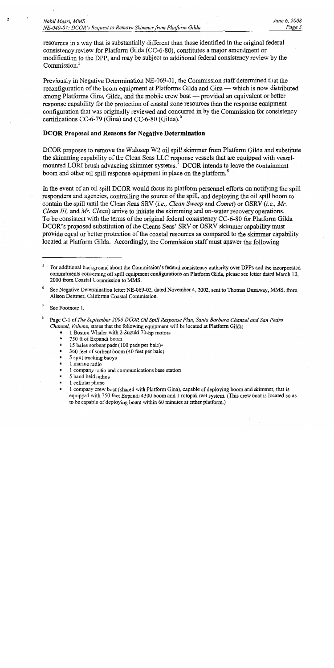resources in a way that is substantially different than those identified in the original federal consistency review for Platform Gilda (CC-6-80), constitutes a major amendment or modification to the DPP, and may be subject to additional federal consistency review by the Commission.<sup>5</sup>

Previously in Negative Determination NE-069-01, the Commission staff determined that the reconfiguration of the boom equipment at Platforms Gilda and Gina — which is now distributed among Platforms Gina, Gilda, and the mobile crew boat — provided an equivalent or better response capability for the protection of coastal zone resources than the response equipment configuration that was originally reviewed and concurred in by the Commission for consistency certifications CC-6-79 (Gina) and CC-6-80 (Gilda).<sup>6</sup>

### **DCOR Proposal and Reasons for Negative Determination**

DCOR proposes to remove the Walosep W2 oil spill skimmer from Platform Gilda and substitute the skimming capability of the Clean Seas LLC response vessels that are equipped with vesselmounted LORI brush advancing skimmer systems.<sup>7</sup> DCOR intends to leave the containment boom and other oil spill response equipment in place on the platform.<sup>8</sup>

In the event of an oil spill DCOR would focus its platform personnel efforts on notifying the spill responders and agencies, controlling the source of the spill, and deploying the oil spill boom to contain the spill until the Clean Seas SRV *(i.e., Clean Sweep* and *Comet)* or OSRV *(i.e., Mr. Clean III*, and *Mr. Clean*) arrive to initiate the skimming and on-water recovery operations. To be consistent with the terms of the original federal consistency CC-6-80 for Platform Gilda DCOR's proposed substitution of the Cleans Seas' SRV or OSRV skimmer capability must provide equal or better protection of the coastal resources as compared to the skimmer capability located at Platform Gilda. Accordingly, the Commission staff must answer the following

 $\overline{7}$ See Footnote 1.

 $\mathbf{z}$  :

8 Page C-1 of The September 2006 DCOR Oil Spill Response Plan, Santa Barbara Channel and San Pedro Channel, Volume, states that the following equipment will be located at Platform Gilda:

- 1 Boston Whaler with 2-Suzuki 70-hp motors  $\blacksquare$
- $\blacksquare$ 750 ft of Expandi boom
- $\blacksquare$ 15 bales sorbent pads (100 pads per bale).
- $\blacksquare$ 360 feet of sorbent boom (40 feet per bale)
- $\blacksquare$ 5 spill tracking buoys
- $\blacksquare$ 1 marine radio
- $\blacksquare$ 1 company radio and communications base station
- 5 hand held radios
- 1 cellular phone  $\blacksquare$
- 1 company crew boat (shared with Platform Gina), capable of deploying boom and skimmer, that is  $\blacksquare$ equipped with 750 feet Expandi 4300 boom and 1 rotopak reel system. (This crew boat is located so as to be capable of deploying boom within 60 minutes at either platform.)

<sup>5</sup> For additional background about the Commission's federal consistency authority over DPPs and the incorporated commitments concerning oil spill equipment configurations on Platform Gilda, please see letter dated March 13, 2000 from Coastal Commission to MMS.

See Negative Determination letter NE-069-01, dated November 4, 2002, sent to Thomas Dunaway, MMS, from Alison Dettmer, California Coastal Commission.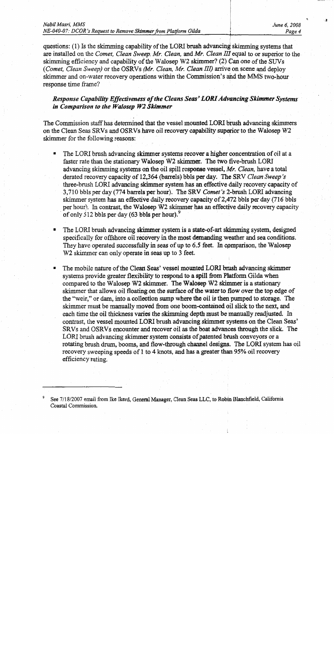| Nabil Masri, MMS                                                |  |  |
|-----------------------------------------------------------------|--|--|
| NE-040-07: DCOR's Request to Remove Skimmer from Platform Gilda |  |  |

questions: (1) Is the skimming capability of the LORI brush advancing skimming systems that are installed on the Comet, Clean Sweep, Mr. Clean, and Mr. Clean III equal to or superior to the skimming efficiency and capability of the Walosep W2 skimmer? (2) Can one of the SUVs (Comet, Clean Sweep) or the OSRVs (Mr. Clean, Mr. Clean III) arrive on scene and deploy skimmer and on-water recovery operations within the Commission's and the MMS two-hour response time frame?

Response Capability Effectiveness of the Cleans Seas' LORI Advancing Skimmer Systems in Comparison to the Walosep W2 Skimmer

The Commission staff has determined that the vessel mounted LORI brush advancing skimmers on the Clean Seas SRVs and OSRVs have oil recovery capability superior to the Walosep W2 skimmer for the following reasons:

- The LORI brush advancing skimmer systems recover a higher concentration of oil at a faster rate than the stationary Walosep W2 skimmer. The two five-brush LORI advancing skimming systems on the oil spill response vessel, Mr. Clean, have a total derated recovery capacity of 12,364 (barrels) bbls per day. The SRV Clean Sweep's three-brush LORI advancing skimmer system has an effective daily recovery capacity of 3,710 bbls per day (774 barrels per hour). The SRV Comet's 2-brush LORI advancing skimmer system has an effective daily recovery capacity of 2,472 bbls per day (716 bbls per hour). In contrast, the Walosep W2 skimmer has an effective daily recovery capacity of only 512 bbls per day  $(63$  bbls per hour).
- The LORI brush advancing skimmer system is a state-of-art skimming system, designed specifically for offshore oil recovery in the most demanding weather and sea conditions. They have operated successfully in seas of up to 6.5 feet. In comparison, the Walosep W2 skimmer can only operate in seas up to 3 feet.
- The mobile nature of the Clean Seas' vessel mounted LORI brush advancing skimmer systems provide greater flexibility to respond to a spill from Platform Gilda when compared to the Walosep W2 skimmer. The Walosep W2 skimmer is a stationary skimmer that allows oil floating on the surface of the water to flow over the top edge of the "weir," or dam, into a collection sump where the oil is then pumped to storage. The skimmer must be manually moved from one boom-contained oil slick to the next, and each time the oil thickness varies the skimming depth must be manually readjusted. In contrast, the vessel mounted LORI brush advancing skimmer systems on the Clean Seas' SRVs and OSRVs encounter and recover oil as the boat advances through the slick. The LORI brush advancing skimmer system consists of patented brush conveyors or a rotating brush drum, booms, and flow-through channel designs. The LORI system has oil recovery sweeping speeds of 1 to 4 knots, and has a greater than 95% oil recovery efficiency rating.

See 7/18/2007 email from Ike Ikerd, General Manager, Clean Seas LLC, to Robin Blanchfield, California Coastal Commission.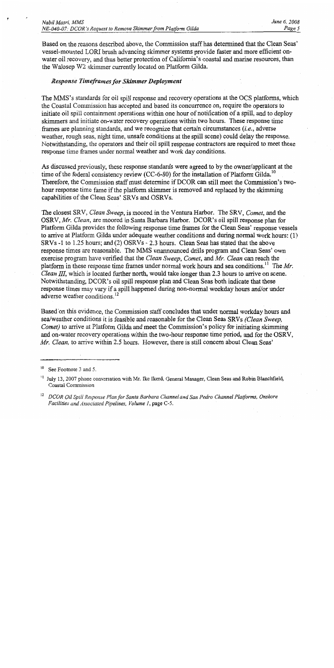Based on the reasons described above, the Commission staff has determined that the Clean Seas' vessel-mounted LORI brush advancing skimmer systems provide faster and more efficient onwater oil recovery, and thus better protection of California's coastal and marine resources, than the Walosep W2 skimmer currently located on Platform Gilda.

### **Response Timeframes for Skimmer Deployment**

The MMS's standards for oil spill response and recovery operations at the OCS platforms, which the Coastal Commission has accepted and based its concurrence on, require the operators to initiate oil spill containment operations within one hour of notification of a spill, and to deploy skimmers and initiate on-water recovery operations within two hours. These response time frames are planning standards, and we recognize that certain circumstances  $(i.e.,$  adverse weather, rough seas, night time, unsafe conditions at the spill scene) could delay the response. Notwithstanding, the operators and their oil spill response contractors are required to meet these response time frames under normal weather and work day conditions.

As discussed previously, these response standards were agreed to by the owner/applicant at the time of the federal consistency review (CC-6-80) for the installation of Platform Gilda.<sup>10</sup> Therefore, the Commission staff must determine if DCOR can still meet the Commission's twohour response time fame if the platform skimmer is removed and replaced by the skimming capabilities of the Clean Seas' SRVs and OSRVs.

The closest SRV, Clean Sweep, is moored in the Ventura Harbor. The SRV, Comet, and the OSRV, Mr. Clean, are moored in Santa Barbara Harbor. DCOR's oil spill response plan for Platform Gilda provides the following response time frames for the Clean Seas' response vessels to arrive at Platform Gilda under adequate weather conditions and during normal work hours: (1) SRVs -1 to 1.25 hours; and (2) OSRVs - 2.3 hours. Clean Seas has stated that the above response times are reasonable. The MMS unannounced drills program and Clean Seas' own exercise program have verified that the *Clean Sweep*, *Comet*, and *Mr. Clean* can reach the platform in these response time frames under normal work hours and sea conditions.<sup>11</sup> The Mr. *Clean III*, which is located further north, would take longer than 2.3 hours to arrive on scene. Notwithstanding, DCOR's oil spill response plan and Clean Seas both indicate that these response times may vary if a spill happened during non-normal weekday hours and/or under adverse weather conditions.<sup>12</sup>

Based on this evidence, the Commission staff concludes that under normal workday hours and sea/weather conditions it is feasible and reasonable for the Clean Seas SRVs (Clean Sweep. *Comet*) to arrive at Platform Gilda and meet the Commission's policy for initiating skimming and on-water recovery operations within the two-hour response time period, and for the OSRV, Mr. Clean, to arrive within 2.5 hours. However, there is still concern about Clean Seas'

See Footnote 3 and 5.

<sup>&</sup>lt;sup>11</sup> July 13, 2007 phone conversation with Mr. Ike Ikerd, General Manager, Clean Seas and Robin Blanchfield, Coastal Commission

<sup>&</sup>lt;sup>12</sup> DCOR Oil Spill Response Plan for Santa Barbara Channel and San Pedro Channel Platforms, Onshore Facilities and Associated Pipelines. Volume 1, page C-5.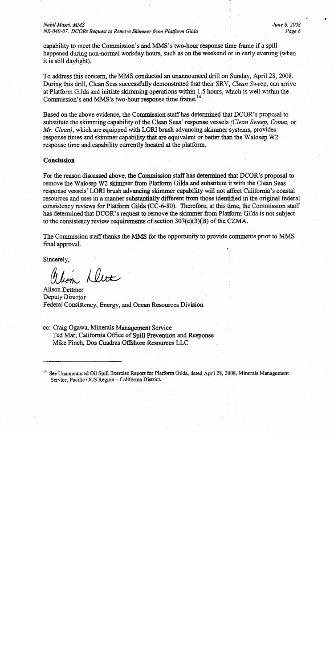### Nabil Masri, MMS

NE-040-07: DCORs Request to Remove Skimmer from Platform Gilda

June 6, 2008 Page 6

capability to meet the Commission's and MMS's two-hour response time frame if a spill happened during non-normal workday hours, such as on the weekend or in early evening (when it is still daylight).

To address this concern, the MMS conducted an unannounced drill on Sunday, April 28, 2008. During this drill, Clean Seas successfully demonstrated that their SRV, Clean Sweep, can arrive at Platform Gilda and initiate skimming operations within 1.5 hours, which is well within the Commission's and MMS's two-hour response time frame.<sup>14</sup>

Based on the above evidence, the Commission staff has determined that DCOR's proposal to substitute the skimming capability of the Clean Seas' response vessels (Clean Sweep, Comet, or Mr. Clean), which are equipped with LORI brush advancing skimmer systems, provides response times and skimmer capability that are equivalent or better than the Walosep W2 response time and capability currently located at the platform.

### Conclusion

For the reason discussed above, the Commission staff has determined that DCOR's proposal to remove the Walosep W2 skimmer from Platform Gilda and substitute it with the Clean Seas response vessels' LORI brush advancing skimmer capability will not affect California's coastal resources and uses in a manner substantially different from those identified in the original federal consistency reviews for Platform Gilda (CC-6-80). Therefore, at this time, the Commission staff has determined that DCOR's request to remove the skimmer from Platform Gilda is not subject to the consistency review requirements of section  $307(c)(3)(B)$  of the CZMA.

The Commission staff thanks the MMS for the opportunity to provide comments prior to MMS final approval.

Sincerely.

lin Dette

**Alison Dettmer** Deputy Director Federal Consistency, Energy, and Ocean Resources Division

cc: Craig Ogawa, Minerals Management Service Ted Mar, California Office of Spill Prevention and Response Mike Finch, Dos Cuadras Offshore Resources LLC

<sup>14</sup> See Unannounced Oil Spill Exercise Report for Platform Gilda, dated April 28, 2008, Minerals Management Service, Pacific OCS Region - California District.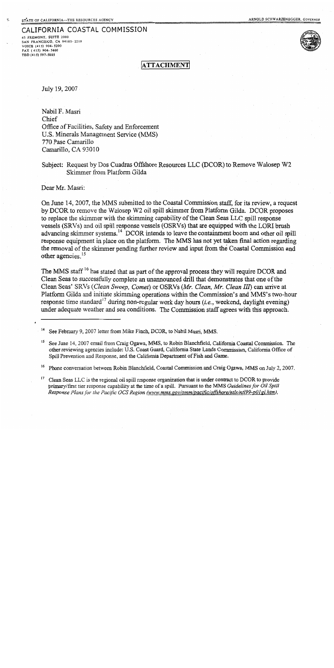### CALIFORNIA COASTAL COMMISSION

45 FREMONT, SUITE 2000 SAN FRANCISCO, CA 94105-2219 VOICE (415) 904-5200 FAX (415) 904-5400 TDD (415) 597-5885



**ATTACHMENT** 

July 19, 2007

Nabil F. Masri Chief Office of Facilities, Safety and Enforcement U.S. Minerals Management Service (MMS) 770 Pase Camarillo Camarillo, CA 93010

### Subject: Request by Dos Cuadras Offshore Resources LLC (DCOR) to Remove Walosep W2 Skimmer from Platform Gilda

Dear Mr. Masri:

On June 14, 2007, the MMS submitted to the Coastal Commission staff, for its review, a request by DCOR to remove the Walosep W2 oil spill skimmer from Platform Gilda. DCOR proposes to replace the skimmer with the skimming capability of the Clean Seas LLC spill response vessels (SRVs) and oil spill response vessels (OSRVs) that are equipped with the LORI brush advancing skimmer systems.<sup>14</sup> DCOR intends to leave the containment boom and other oil spill response equipment in place on the platform. The MMS has not yet taken final action regarding the removal of the skimmer pending further review and input from the Coastal Commission and other agencies.<sup>15</sup>

The MMS staff<sup>16</sup> has stated that as part of the approval process they will require DCOR and Clean Seas to successfully complete an unannounced drill that demonstrates that one of the Clean Seas' SRVs (Clean Sweep, Comet) or OSRVs (Mr. Clean, Mr. Clean III) can arrive at Platform Gilda and initiate skimming operations within the Commission's and MMS's two-hour response time standard<sup>17</sup> during non-regular work day hours (*i.e.*, weekend, daylight evening) under adequate weather and sea conditions. The Commission staff agrees with this approach.

See February 9, 2007 letter from Mike Finch, DCOR, to Nabil Masri, MMS.

See June 14, 2007 email from Craig Ogawa, MMS, to Robin Blanchfield, California Coastal Commission. The other reviewing agencies include: U.S. Coast Guard, California State Lands Commission, California Office of Spill Prevention and Response, and the California Department of Fish and Game.

<sup>16</sup> Phone conversation between Robin Blanchfield, Coastal Commission and Craig Ogawa, MMS on July 2, 2007.

 $17$ Clean Seas LLC is the regional oil spill response organization that is under contract to DCOR to provide primary/first tier response capability at the time of a spill. Pursuant to the MMS Guidelines for Oil Spill Response Plans for the Pacific OCS Region (www.mms.gov/omm/pacific/offshore/ntls/ntl99-p01gl.htm),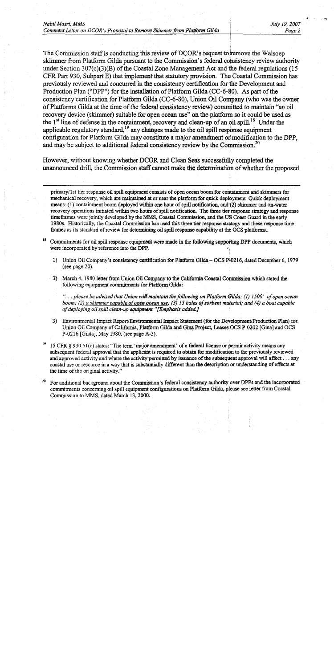The Commission staff is conducting this review of DCOR's request to remove the Walsoep skimmer from Platform Gilda pursuant to the Commission's federal consistency review authority under Section  $307(c)(3)(B)$  of the Coastal Zone Management Act and the federal regulations (15) CFR Part 930, Subpart E) that implement that statutory provision. The Coastal Commission has previously reviewed and concurred in the consistency certification for the Development and Production Plan ("DPP") for the installation of Platform Gilda (CC-6-80). As part of the consistency certification for Platform Gilda (CC-6-80), Union Oil Company (who was the owner of Platforms Gilda at the time of the federal consistency review) committed to maintain "an oil recovery device (skimmer) suitable for open ocean use" on the platform so it could be used as the 1<sup>st</sup> line of defense in the containment, recovery and clean-up of an oil spill.<sup>18</sup> Under the applicable regulatory standard,  $19$  any changes made to the oil spill response equipment configuration for Platform Gilda may constitute a major amendment or modification to the DPP. and may be subject to additional federal consistency review by the Commission.<sup>20</sup>

However, without knowing whether DCOR and Clean Seas successfully completed the unannounced drill, the Commission staff cannot make the determination of whether the proposed

primary/1st tier response oil spill equipment consists of open ocean boom for containment and skimmers for mechanical recovery, which are maintained at or near the platform for quick deployment Quick deployment means: (1) containment boom deployed within one hour of spill notification, and (2) skimmer and on-water recovery operations initiated within two hours of spill notification. The three tier response strategy and response timeframes were jointly developed by the MMS, Coastal Commission, and the US Coast Guard in the early 1980s. Historically, the Coastal Commission has used this three tier response strategy and these response time frames as its standard of review for determining oil spill response capability at the OCS platforms..

- Commitments for oil spill response equipment were made in the following supporting DPP documents, which were incorporated by reference into the DPP.
	- 1) Union Oil Company's consistency certification for Platform Gilda OCS P-0216, dated December 6, 1979 (see page  $20$ ).
	- 3) March 4, 1980 letter from Union Oil Company to the California Coastal Commission which stated the following equipment commitments for Platform Gilda:

"... please be advised that Union will maintain the following on Platform Gilda: (1) 1500' of open ocean boom; (2) a skimmer capable of open ocean use; (3) 15 bales of sorbent material; and (4) a boat capable of deploying oil spill clean-up equipment."[Emphasis added.]

- 3) Environmental Impact Report/Environmental Impact Statement (for the Development/Production Plan) for Union Oil Company of California, Platform Gilda and Gina Project, Leases OCS P-0202 [Gina] and OCS P-0216 [Gilda], May 1980, (see page A-3).
- 15 CFR § 930.51(c) states: "The term 'major amendment' of a federal license or permit activity means any subsequent federal approval that the applicant is required to obtain for modification to the previously reviewed and approved activity and where the activity permitted by issuance of the subsequent approval will affect . . . any coastal use or resource in a way that is substantially different than the description or understanding of effects at the time of the original activity."
- For additional background about the Commission's federal consistency authority over DPPs and the incorporated commitments concerning oil spill equipment configurations on Platform Gilda, please see letter from Coastal Commission to MMS, dated March 13, 2000.